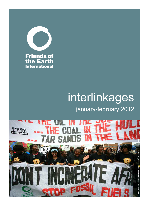

# interlinkages january-february 2012

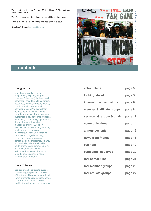Welcome to the January-February 2012 edition of FoEI's electronic update Interlinkages.

The Spanish version of this Interlinkages will be sent out soon.

Thanks to Ronnie Hall for editing and designing this issue.

Questions? Contact comms@foei.org



## **contents**

rivers, mineral policy institute, peace boat, rainforest action network, world information service on energy

| foe groups                                                                                                                                                                                                                                                                                                                                                                                                                                                                                                                                                                                                                                                                                                                                                                                                                                                                                                                   | action alerts              | page 3  |
|------------------------------------------------------------------------------------------------------------------------------------------------------------------------------------------------------------------------------------------------------------------------------------------------------------------------------------------------------------------------------------------------------------------------------------------------------------------------------------------------------------------------------------------------------------------------------------------------------------------------------------------------------------------------------------------------------------------------------------------------------------------------------------------------------------------------------------------------------------------------------------------------------------------------------|----------------------------|---------|
| argentina, australia, austria,<br>bangladesh, belgium, belgium<br>(flanders & brussels), bolivia, brazil,<br>cameroon, canada, chile, colombia,<br>costa rica, croatia, curação, cyprus,<br>czech republic, denmark, el<br>salvador, england/wales/northern<br>ireland, estonia, finland, france,<br>georgia, germany, ghana, grenada,<br>guatemala, haiti, honduras, hungary,<br>indonesia, ireland, italy, japan, latvia,<br>liberia, lithuania, luxembourg,<br>macedonia (former yugoslav<br>republic of), malawi, malaysia, mali,<br>malta, mauritius, mexico,<br>mozambique, nepal, netherlands,<br>new zealand, nigeria, norway,<br>palestine, papua new guinea,<br>paraguay, peru, philippines, poland,<br>scotland, sierra leone, slovakia,<br>south africa, south korea, spain, sri<br>lanka, sweden, swaziland,<br>switzerland, tanzania, timo-leste,<br>togo, tunisia, uganda, ukraine,<br>united states, uruguay | looking ahead              | page 5  |
|                                                                                                                                                                                                                                                                                                                                                                                                                                                                                                                                                                                                                                                                                                                                                                                                                                                                                                                              | international campaigns    | page 6  |
|                                                                                                                                                                                                                                                                                                                                                                                                                                                                                                                                                                                                                                                                                                                                                                                                                                                                                                                              | member & affiliate groups  | page 8  |
|                                                                                                                                                                                                                                                                                                                                                                                                                                                                                                                                                                                                                                                                                                                                                                                                                                                                                                                              | secretariat, excom & chair | page 12 |
|                                                                                                                                                                                                                                                                                                                                                                                                                                                                                                                                                                                                                                                                                                                                                                                                                                                                                                                              | communications             | page 14 |
|                                                                                                                                                                                                                                                                                                                                                                                                                                                                                                                                                                                                                                                                                                                                                                                                                                                                                                                              | announcements              | page 16 |
|                                                                                                                                                                                                                                                                                                                                                                                                                                                                                                                                                                                                                                                                                                                                                                                                                                                                                                                              | news from friends          | page 18 |
|                                                                                                                                                                                                                                                                                                                                                                                                                                                                                                                                                                                                                                                                                                                                                                                                                                                                                                                              | calendar                   | page 19 |
|                                                                                                                                                                                                                                                                                                                                                                                                                                                                                                                                                                                                                                                                                                                                                                                                                                                                                                                              | campaign list serves       | page 20 |
|                                                                                                                                                                                                                                                                                                                                                                                                                                                                                                                                                                                                                                                                                                                                                                                                                                                                                                                              | foei contact list          | page 21 |
| foe affiliates                                                                                                                                                                                                                                                                                                                                                                                                                                                                                                                                                                                                                                                                                                                                                                                                                                                                                                               | foei member groups         | page 23 |
| cee bankwatch, corporate europe<br>observatory, corpwatch, earthlife<br>africa, foe middle east, international                                                                                                                                                                                                                                                                                                                                                                                                                                                                                                                                                                                                                                                                                                                                                                                                               | foei affiliate groups      | page 27 |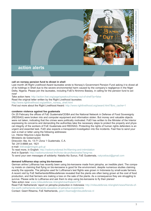

#### **call on norway pension fund to divest in shell**

Last month 28 Right Livelihood Award laureates wrote to Norway's Government Pension Fund asking it to divest all of its holdings in Shell due to the severe environmental harm caused by the company's negligence in the Niger Delta, Nigeria. Please join the laureates, including FoEI's Nnimmo Bassey, in calling for the pension fund to act now!

Take action here: http://action.foei.org/page/speakout/norway-out-of-shell?js=false

Read the original letter written by the Right Livelihood laureates:

http://www.rightlivelihood.org/petition\_norway\_shell.html

Find out more about the Right Livelihood Award: http://www.rightlivelihood.org/award.html?&no\_cache=1

#### **condemn violence against foe guatemala**

On 25 February the offices of FoE Guatemala/CEIBA and the National Network in Defense of Food Sovereignty (REDSAG) were broken into and computer equipment and information stolen. But money and valuable objects were not taken, indicating that the crimes were politically motivated. FoEI has written to the Minister of the Interior expressing its concerns and demanding the authorities take the necessary steps to protect the property and physical integrity of the workers of FoE Guatemala and REDSAG. Protecting the rights of human rights defenders is an urgent and essential task. FoEI also expects a transparent investigation into the incidents. Feel free to send your own e-mail or letter using the following addresses:

Lic. Héctor Mauricio López Bonilla

Ministerio de Gobernación

Dirección: 6ta. Av. 13-71 Zona 1 Guatemala, C.A. Tel: 2413-8888 ext. 1621

e-mail: kldivas@mingob.gob.gt

To read more, in English: http://radiomundoreal.fm/Warning-and-intimidation

And in Spanish: http://radiomundoreal.fm/Aviso-de-profesionales?lang=es

To send your own messages of solidarity: Natalia Atz Sunuc, FoE Guatemala, natyceibauii@gmail.com

#### **demand lufthansa stop using bio-kerosene**

German airline Lufthansa has recently been using bio-kerosene made from jatropha, an inedible plant. The company insists on claiming that flying on bio-kerosene is good for the environment, despite numerous studies claiming exactly the opposite. The jatropha used for Lufthansa's test flights was grown in Indonesia by small-scale farmers. A recent visit by FoE Netherlands/Milieudefensie revealed that the plants are often being grown at the cost of food production, and that farmers are making a loss on the sale of the plants. As a consequence they are struggling to survive. Please write to Lufthansa and ask them to stop using bio-kerosene to fly their planes! Take action now: www.milieudefensie.nl/english/earthalarm/132

Read FoE Netherlands' report on jatropha production in Indonesia: http://milieudefensie.nl/english/news/friends-ofthe-earth-netherlands-demands-cessation-of-jatropha-investments

Contact: Geert Ritsema, FoE Netherlands, geert.ritsema@milieudefensie.nl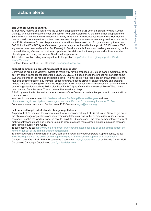#### **one year on, where is sandra?**

17 February marked one year since the sudden disappearance of 26-year-old Sandra Viviana Cuellar Gallego, an environmental engineer and activist from Cali, Colombia. At the time of her disappearance, Sandra was on her way to the National University in Palmira, Valle del Cauca department. Her identity card and cell phone were found a few days later near the place where she was supposed to take a public bus. Political reasons for her disappearance have still not been ruled out. To try and step up the action FoE Colombia/CENSAT Agua Viva have organised a cyber action with the support of FoEI; nearly 2500 signatures have been collected so far. Please join Sandra's family, friends and colleagues in calling on the National Attorney General to provide an update on the status of the investigation and outline how she plans to proceed, one year on from Sandra's disappearance.

Take action now by adding your signature to the petition: http://action.foei.org/page/speakout/findsandra?js=false

Contact: Jorge Sanchez, FoE Colombia, direccion@censat.org

#### **support communities protesting against el quimbo dam**

Communities are being violently evicted to make way for the proposed El Quimbo dam in Colombia, to be built by Italian transnational corporation ENDESA-ENEL. If it goes ahead the project will inundate about 8,250ha of some of the region's most fertile land. This will destroy the food security of hundreds of communities of fisher people, day workers, coffee growers, tobacco growers, cacao growers and artisanal miners living and working alongside the Magdalena River. National and international journalists and members of organisations such as FoE Colombia/CENSAT Agua Viva and International Peace Watch have been banned from the area. These communities need your help!

A FoEI cyberaction is planned and the addresses of the Colombian authorities you should contact will be circulated soon.

You can find out more here: http://radiomundoreal.fm/Safety-Reasons?lang=es and here http://censat.org/index.php?option=com\_chronocontact&chronoformname=quimboener2012en For more information contact: Danilo Urrea, FoE Colombia, agua@censat.org

#### **call on sasol to get out of climate change negotiations**

As part of FoEI's focus on the corporate capture of decision-making, FoEI is calling on Sasol to get out of the climate change negotiations and stop promoting false solutions to the climate crisis. African energy company Sasol is the world's leader in coal-to-liquid (CTL) technology - the most carbon-intensive way of making petrol and diesel, and Sasol's Secunda plant produces more carbon dioxide emissions than any other single source in the world.

To take action, go to: http://www.foei.org/en/get-involved/take-action/call-one-of-south-africas-largest-polluters-to-get-out-of-the-climate-change-negotiations

To download FoEI's new report on Sasol, part of the newly launched Corporate Capture series, go to: www.foei.org/en/what-we-do/corporate-capture/exposing-the-corporate-capture-of-un-institutions Contact: Lucia Ortíz, FoEI EJRN Programme Coordinator, lucia@natbrasil.org.br or Paul de Clerck, FoEI Corporates Campaign Coordinator, paul@milieudefensie.nl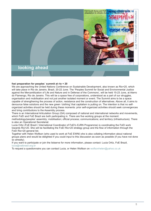

#### **foei preparation for peoples´ summit at rio + 20**

We are approaching the United Nations Conference on Sustainable Development, also known as Rio+20, which will take place in Rio de Janeiro, Brazil, 20-22 June. The 'Peoples Summit for Social and Environmental Justice against the Mercantilization of Life and Nature and in Defense of the Commons', will be held 15-23 June, at Aterro do Flamengo, Rio de Janeiro. This will be a space free of corporations, understood as a part of our struggles, organisation and mobilisation and not just another isolated moment or event. The Summit aims to be a space capable of strengthening the process of action, resistance and the construction of alternatives. Above all, it aims to denounce false solutions and the new green 'clothing' that capitalism is putting on. The intention is that no selforganized activities should be held during these moments: prior self-organized activities should seek convergences and bring contributions to the Assembly process.

There is an International Articulation Group (GA) composed of national and international networks and movements, which FoEI and FoE Brazil are both participating in. There are five working groups at the moment:

methodology/peoples' assembly; mobilisation; official process; communications; and territory (infrastructure). There is also an Operational Secretariat.

Lucia Ortiz (FoE Brazil / International Coordinator of FoEI's EJRN Programme) is coordinating the FoEI work towards Rio+20. She will be facilitating the FoEI Rio+20 strategy group and the flow of information through the FoEI Rio+20 general list.

Together with Helen Wolfson (who used to work at FoE EWNI) she is also collating information about national groups plans and would be delighted if you could input to this discussion as soon as possible (if you have not done so already).

If you want to participate or join the listserve for more information, please contact: Lucia Ortíz, FoE Brazil, lucia@natbrasil.org.br

To request a questionnaire you can contact Lucia, or Helen Wolfson on wolfsonhelen@yahoo.co.uk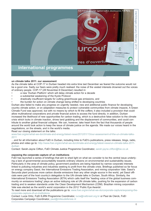

#### **un climate talks 2011: our assessment**

As the climate talks at COP-17 in Durban headed into extra time last December we feared the outcome would not be a good one. Sadly our fears were pretty much realised: the noise of the vested interests drowned out the voices of ordinary people. COP-17 (28 November-9 December) resulted in:

- a new 'Durban Platform' which will delay climate action for a decade
- a substantial weakening of the Kyoto Protocol
- drastically insufficient targets for cutting greenhouse gas emissions, and
- the burden for action on climate change being shifted to developing countries

Durban also failed to make any progress on urgently needed, new and additional public finance for developing country climate action, or on adaptation measures to protect vulnerable communities from climate impacts. A Green Climate Fund was approved, but with no means by which to fill the coffers; it also included a provision that could allow multinational corporations and private financial actors to access the fund directly. in addition, Durban increased the likelihood of new opportunities for carbon trading, which is a destructive false solution to the climate crisis which locks in climate inaction, drives land grabbing and the displacement of communities, and could contribute to another global financial collapse. We can, however, take heart from the fact that thousands of people around the world took action to keep the issue of climate justice on the agenda. We made our voices heard in the negotiations, on the streets, and in the world's media.

Read our closing statement on the talks:

www.foei.org/en/what-we-do/climate-and-energy/latest-news/2012/01/13/our-assessment-of-the-un-climate-talks-2011

…and for all information about FoEI in Durban, including links to FoEI's publications, press releases, blogs, radio, photos and video go to: http://www.foei.org/en/what-we-do/climate-and-energy/latest-news/un-climate-talks-2011 durban

Contact: Sarah-Jayne Clifton, FoEI Climate Justice Programme Coordinator, sarah-jayne.clifton@foe.co.uk

#### **exposing the corporate capture of un institutions**

FoEI has launched a series of briefings that aim to shed light on what we consider to be the central issue underlying a lack of governmental accountability towards ordinary citizens on environmental and sustainability issues. Particularly in the area of climate policy, government positions are being hijacked by narrow corporate interests linked to polluting industries and industries seeking to profit from the climate crisis. Briefings published so far focus on energy company Sasol, the International Emissions Trading Association, and mining corporation Vale. Sasol's Secunda plant produces more carbon dioxide emissions than any other single source in the world, yet Sasol officials were part of the host country's delegation to the UN climate talks in Durban, South Africa. Similarly, the International Emissions Trading Association (IETA) which calls itself the "leading voice of the global business community on emissions trading" plays an active lobbying role at UN climate talks, pushing for the expansion of carbon trading and to weaken standards under the Clean Development Mechanism (CDM). Brazilian mining corporation Vale was elected as the world's worst corporation in the 2012 'Public Eye Awards'.

To read more and download all the publications go to: www.foei.org/en/what-we-do/corporate-capture/exposing-thecorporate-capture-of-un-institutions

Contact: Lucia Ortíz, FoEI EJRN Programme Coordinator, lucia@natbrasil.org.br or Paul de Clerck, FoEI Corporates Campaign Coordinator, paul@milieudefensie.nl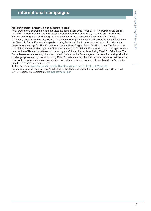## **international campaigns**

#### **foei participates in thematic social forum in brazil**

FoEI programme coordinators and activists including Lucia Ortíz (FoEI EJRN Programme/FoE Brazil), Isaac Rojas (FoEI Forests and Biodiversity Programme/FoE Costa Rica), Martín Drago (FoEI Food Sovereignty Programme/FoE Uruguay) and member group representatives from Brazil, Canada, Colombia, Costa Rica, Finland, France, Guatemala, Paraguay, Sweden and United States participated in the Thematic Social Forum on 'Capitalist Crisis, Social and Environmental Justice' and in civil society preparatory meetings for Rio+20, that took place in Porto Alegre, Brazil, 24-29 January. The Forum was part of the process leading up to the "People's Summit for Social and Environmental Justice, against mercantilization of life and in defense of common goods" that will take place during Rio+20, 15-23 June. The Social Movements' Assembly that took place in parallel to the Forum agreed on steps for dealing with the challenges presented by the forthcoming Rio+20 conference, and its final declaration states that the solutions to the current economic, environmental and climate crises, which are closely linked, are "not to be found within the capitalist system".

To find out more: www.radiomundoreal.fm/Social-movements-in-the-lead-up-to?lang=es For a more detailed report of FoEI's activities at the Thematic Social Forum contact: Lucia Ortíz, FoEI

EJRN Programme Coordinator, lucia@natbrasil.org.br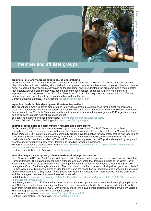

#### **argentina: one family's tragic experience of land grabbing**

On 16 November 2011, Cristian Ferreyra, a member of CCCOPAL MOCASE-Via Campesina, was assassinated. Like others, he had been resisting attempted eviction by entrepreneurs who hire armed thugs to intimidate communities. As part of FoE Argentina's campaign on landgrabbing, and to understand the problems in this region better, they interviewed Cristian's mother who, despite her immense sadness, continues with the resistance. She explained that the bulldozers moved in to San Antonio in 2010, and into neighbouring communities in 2009, but their actions have been halted by the communities, at least for now.

Contact: Eduardo Sánchez, FoE Argentina, educacion@amigos.org.ar

#### **argentina: río de la plata development threatens key wetland**

The Argentinean media is advertising a 620ha luxury development project planned for the outskirts of Buenos Aires, to be funded by transnational corporation Techint. The only 'detail' is that it will disrupt a wetland area that is fundamental to the Río de la Plata area, and home to animals that are unique to Argentina. FoE Argentina is supporting citizens' struggle against this megaproject.

You can find out more and see photos here: http://riberaconurbanosur.blogspot.com/

Contact: Eduardo Sánchez, FoE Argentina, educacion@amigos.org.ar

#### **australia: hasselhoffs to health minister, regulate nano-sunscreens!**

On 18 January, FoE Australia activists dressed up as beach safety icon 'The Hoff' (American actor David Hasselhoff) to bring their concerns about the safety of nano-sunscreens to the office of the new Minister for Health, Tanya Plibersek. Skin safety experts and community groups have long called for new safety testing and labelling of sunscreens produced using nanotechnology. After years of government inaction, Friends of the Earth and the Health Minister's constituents called in The Hoff! The constituents passed on 1,000 postcards signed by people all over the country supporting new safety testing and labelling for nano-sunscreens.

For further information, please check here: http://www.foe.org.au/articles/2012-01-18/hasselhoffs-health-ministerplease-regulate-nano-sunscreens

Contact: Cam Walker, FoE Australia, cam.walker@foe.org.au

#### **australia: magistrate supports gladstone harbour dredge protest in court**

On 9 November 2011, FoE Australia activist Derec Davies boarded and stopped one of the controversial Gladstone Harbour dredges. This gained national media attention and connected the dredging impacts to the Great Barrier Reef and the activities of Queensland's coal seam gas industry. In January, Derec faced a claim for A\$35,000 in damages in Court. But the magistrate stated "The courts are not in the business of closing down genuine protests." He then went on to discuss the merits of Gandhi, and noted the "dead fish in Gladstone" and associated discussion around coal seam gas (CSG) protest in the Scenic Rim Region of Queensland. There was no fine, no conviction, and the damages claim was thrown out. A great outcome!

Full details here: www.foe.org.au/articles/2012-01-19/gladstone-harbour-dredge-protest-%E2%80%93-environmental-activist-challenges-court

In addition, in early 2011, FoE Australia started to track, and then oppose new exploration licence (EL) applications for CSG. As a result of their campaigning, they have been pivotally involved in two companies deciding to walk away from further exploration for CSG, with consequences for six ELs across substantial areas of western Victoria. This was a great start to what could be a long campaign.

You can read more here: www.melbourne.foe.org.au/?q=node/908 Contact: Cam Walker, FoE Australia, cam.walker@foe.org.au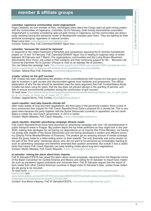## **member & affiliate groups**

#### **colombia: cajamarca communities resist angloashanti**

Hugo Cabieses, ex-vice minister of Peru, exchanged views about the Congo open-pit gold mining project with the communities of Cajamarca, Colombia, 22-23 February. Gold mining transnational corporation AngloAshanti is currently considering open-pit gold mining in Cajamarca, but the communities are strenuously resisting having this extractive model of development imposed upon them. They are fighting for their territorial sovereignty, regardless of national borders.

Read more here: www.biosyecos.com/3edicion.php

Contact: Tatiana Roa, FoE Colombia/CENSAT Agua Viva, coordinacion@censat.org

#### **colombia: 'because life cannot be dammed'**

In response to the violent treatment of fisherfolk and campesinos opposing the El Quimbo hydroelectric project on 14 and 15 February, FoE Colombia/CENSAT Agua Viva is helping to organise days of action between 28 February and 7 March. The organisations, communities and the Living Rivers Movement (Movimiento Ríos Vivos), are united in their solidarity and their continuing support for life - 'Because Life Cannot be Dammed: No to Quimbo' (Porque la Vida no se represa: No al Quimbo').

You can follow the campaign here: http://censat.org/articulos/10025-comunicado/10421-jornada-de-movilizacion-nacional-por-la-defensa-del-territorio-el-rio-magdalena-sus-comunidades Contact: Tatiana Roa, FoE Colombia, coordinacion@censat.org

**croatia: victory on the golf courses!**

FoE Croatia has been celebrating the abolition of the unconstitutional Golf Course Act that gave a green light to investors in golf courses and discriminated against local residents and landowners. The official explanation of why the law should be abolished used the same argument that FoE Croatia/Zelena Akcija Croatia has been using for years: that the law does not prevent abuses in the granting of permits, and fails to ensure environmental protection during the construction of golf courses.

To read more: http://zelena-akcija.hr/en/programmes/biodiversity/activities/scandalous\_law\_on\_golf\_courses\_is\_no\_longer\_in\_force\_as\_of\_today\_24\_11\_2011

Contact: Jagoda Munic, FoE Croatia, jagoda@zelena-akcija.hr

#### **czech republic: next step towards climate bill**

After many weeks of long and hard negotiations, the third party in the governing coalition (from a total of four) announced their support for FoE Czech Republic/Hnuti Duha's proposal for a climate bill. This is very good news because this party together with the Social Democrats (currently in opposition) are hot candidates to create the next Czech government, in 2014 or earlier.

Contact: Martin Mikeska, FoE Czech Republic, martin.mikeska@hnutiduha.cz

#### **czech republic: dramatic advertising campaign attracts media**

FoE Czech Republic/Hnuti Duha have launched an advertising campaign with over 130 advertisements in public transport areas in Prague. Big posters depict the top three politicians as they might look in the year 2030, making their apologies for not having cut dependence on oil imports (the Prime Minister), not having cut energy bills (leader of the Social Democrats) and not having developed a modern and efficient economy (Deputy Prime Minister/Minister of Finances). The posters got an amazing amount of media coverage, which the group linked to a letter-writing action on their website. The only downside was some caution on the part of the 'third party' mentioned above, who did not want to be perceived as immediately reacting to such an advertising campaign and therefore amended their position somewhat. But overall it was a useful tactic that means FoE Czech Republic can keep briefing media about long-term negotiations. Contact: Martin Mikeska, FoE Czech Republic, martin.mikeska@hnutiduha.cz

#### **el salvador: raising the alarm about toxic imports**

FoE El Salvador/CESTA has raised the alarm about recent proposals, stemming from the Regional Centre of the Basel Convention for Central America and Mexico and calling for El Salvador to import toxic materials such as persistent organic pollutants and incinerate them. FoE El Salvador argues that the import of toxic waste from other Central American countries is illegal under El Salvador's laws, unless those materials are going to be recycled.

To read more: www.laprensagrafica.com/el-salvador/lodeldia/247103-analizan-plan-regional-paratoxicos.html and

www.diariocolatino.com/es/20120102/nacionales/98920/CESTA-advierte-sobre-incineraci%C3%B3n-demateriales-t%C3%B3xicos-en-el-pa%C3%ADs.htm

Contact: Ana María Vásquez, FoE El Salvador/CESTA, comunicaciones@cesta-foe.org.sv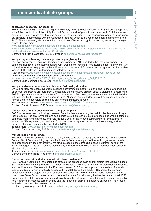#### **el salvador: biosafety law essential**

FoE El Salvador/CESTA is also calling for a biosafety law to protect the health of El Salvador's people and soils, following the Association of Agricultural Providers' call to "promote and democratize" biotechnology ostensibly in order to promote the food security of the population. El Salvador should apply the precautionary principle in accordance with the Cartagena Protocol, which El Salvador has been a member of since 2003. There is growing alarm about the potential use of biotechnology in the country, especially transgenic seeds. To read more:

www.contrapunto.com.sv/ambiente/nota-piden-ley-de-bioseguridad

www.diariocolatino.com/es/20120220/nacionales/100564/Semilla--transg%C3%A9nica--atenta-contra-lacalidad-de-vida-de-los-salvadore%C3%B1os.htm

Contact: Ana María Vásquez, FoE El Salvador, comunicaciones@cesta-foe.org.sv

#### **europe: organic farming dwarves gm crops, gm giant quits**

It's good news from Europe, as Germany-based company BASF decided to halt the development and commercialisation of genetically modified (GM) crops in the continent. FoE Europe's figures show that GM cultivation remains deeply unpopular in Europe, with the area of GM crops remaining at 0.1% of all arable land in 2011, whilst organic farming accounted for 3.7%.

Read more: www.foei.org/en/what-we-do/food-sovereignty/latest-news/gm-giant-basf-leaves-europe Or download FoE Europe's factsheet on organic farming:

www.foeeurope.org/GMOs/FoEE\_factsheet\_organic\_farming\_dwarves\_GM\_Feb2012.pdf Contact: Mute Schimpf, FoE Europe, mute.schimpf@foeeurope.org

#### **europe: stalemate on tar sands vote under fuel quality directive**

On 23 February representatives from European governments met to vote on plans to keep tar sands out of Europe, but intense pressure from Canada and the oil industry brought about a stalemate, according to FoE Europe. Abstentions and rejections from a number of European governments mean the final decision will be taken by the Environment Council in June. Although this is a further delay it holds open an opportunity for a more responsible decision by environment ministers in June.

You can read more here: www.foeeurope.org/press/2012/Feb23\_Stalemate\_on\_tar\_sands.html Contact: Darek Urbaniak, FoE Europe, darek.urbaniak@foeeurope.org

#### **france: make built-in obsolescence a thing of the past!**

FoE France have been mobilising in several French cities, denouncing the built-in obsolescence of hightech products. The environmental and social impacts of high-tech products are neglected when it comes to corporate marketing strategies, and FoE France's activists have been campaigning for companies to extend the 'life expectancy' of products, for products to be repaired rather than thrown away, and for unwanted high-tech goods to be donated to NGOs.

To read more: www.amisdelaterre.org/obsolescence.html

Contact: Camille Lecomte, FoE France, camille.lecomte@amisdelaterre.org

#### **france: 'made without gmos'**

The fourth gathering of 'Made without GMOs' ('Faites sans OGM') took place in Vaucluse, in the south of France, 10-12 February, bringing committed people from various parts of the world together to consider one urgent priority: food sovereignty. We struggle against the same challenges in different parts of the world, but together we can preserve biodiversity, and build a free world in which man does not consume all the ecological space.

To read more: www.amisdelaterre.org/Les-Amis-de-la-Terre-Vaucluse-a-la.html Contact: Bénédicte Bonzi, FoE France, bndictebonzi@yahoo.fr

#### **france: success, sime darby palm oil mill plans 'postponed'**

FoE France's vegetable oil campaign has targeted the proposed palm oil mill project that Malaysia-based Sime Darby was planning to build in the south of France. If built this mill would link plantations in countries such as Liberia and Cameroon to the European market. FoE France supported the creation of a local collective of citizens, which eventually succeeded in destabilising the project: in December the company announced that the project had been officially 'postponed'. But FoE France will keep monitoring the situation in case Sime Darby comes back with any similar plans for mills along the Mediterranean coast. FoE France and FoE Liberia have also worked closely together, allowing a French journalist commissioned by FoE France to investigate carbon scams and the impacts of palm oil plantations on people. Their report and video are due to be released in March 2012.

Contact: Sylvain Angerand, FoE France, sylvain.angerand@amisdelaterre.org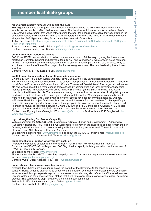#### **nigeria: fuel subsidy removal will punish the poor**

FoE Nigeria described the Nigerian government's decision to scrap the so-called fuel subsidies that enable poorer people to afford fuel as scandalous. The decision, which came into force on New Year's Day, shows a government that would rather punish the poor than confront the cabal they say exists in the petroleum sector, or displease the International Monetary Fund (IMF), the World Bank or other international agencies. FoE Nigeria is calling for an immediate reversal of the policy.

To find out more: http://thewillnigeria.com/general/11555-Reactions-Trail-Subsidy-Removal-ERA-Rejects-Petrol-Price-Hike.html

To read Nnimmo's blog on oil politics: http://nnimmo.blogspot.com/view/classic Contact: Nnimmo Bassey, FoE Nigeria, nnimmo@eraction.org

#### **south korea: new leadership elected**

FoE Korea/KFEM held an election to select its new leadership on 28 January. Hyeongcheol Yeom was elected as Secretary General and Jaeyeon Jang, Sijae I and Yeongseon Ji were chosen as co-representatives. The Secretary General participated in the 42 day sit-in at the Ipo Dam in Yeoju in 2010, to try to stop the construction of the 4-River project by the Korean government. The new leadership has a threeyear term.

Contact: Hyunji Kim, FoE Korea/KFEM, arqus@kfem.or.kr

#### **south korea / bangladesh: collaborating on climate change**

Gwangju KFEM (FoE South Korea-Gwangju) gave US\$5,000 to FoE Bangladesh/Bangladesh Environmental Lawyers Association (BELA) to support their project on "Building the Adaptation Capacity of Local Service Providers and Communities in Climate Threatened Coastal Area". The project aimed to create awareness about the climate change threats faced by communities and local government agencies (service providers) in selected coastal areas namely Shemnagar (in the Satkhira district) and Koira Upazila (in the Khulna district). These areas are having to deal with an increased risk of being hit by natural disasters and are faced with a scarcity of food and potable water. Workshops for community people were held in November 2011, along with training workshops for local government agencies. Gwangju KFEM mobilised the project fund through an art fair and donations from its members for this specific purpose. This is a good opportunity to empower local people in Bangladesh to adapt to climate change and to enhance mutual collaboration between Gwangju KFEM and FoE Bangladesh. Gwangju KFEM is also open to collaboration with other FoEI groups to overcome the environmental issues that we face. Contact: Lee, Kyoung Hee, Gwangju KFEM, reekh@kfem.or.kr or Taslima Islam, FoE Bangladesh, tislam73@yahoo.com

#### **togo: strengthening fish farmers' capacity**

With support from the UN's CC DARE programme (Climate Change and Development – Adapting by REducing vulnerability) FoE-Togo held two workshops to strengthen the capacities of leaders from the fish farmers, and civil society organisations working with them at the grassroots level. The workshops took place on 9 and 10 February, in Kara and Atakpame.

You can find out more here: www.amiterre.tg, and about the CC DARE initiative here: http://ccdare.org/ Contact: Kwami Dodzi Kpondzo, FoE Togo, kwadodzi@yahoo.fr

#### **togo: establishing 'publish what you pay' coalition**

As part of the process of establishing the Publish What You Pay (PWYP) Coalition in Togo, the Coordination of PWYP-Africa Region and FoE Togo held a capacity building workshop on the mission of PWYP in Togo, on 17 January.

You can read more here: www.amiterre.tg

Find out about the Publish What You Pay campaign, which focuses on transparency in the extractive sector, here: www.publishwhatyoupay.org/

Contact: Kwami Dodzi Kpondzo, FoE Togo, kwadodzi@yahoo.fr

#### **united states: obama u-turn over keystone xl**

Although the Obama administration rejected the permit for the Keystone XL tar sands oil pipeline in January, TransCanada is attempting to circumvent this decision by splitting the project into two segments to be reviewed through separate regulatory processes. In an alarming about-face, the Obama administration has welcomed the announcement, stating that it will take every step to expedite the federal permitting process. The campaign to stop Keystone XL most definitely continues!

Follow FoE US's dirty fuels campaign on Twitter: @foe\_dirtyfuels Contact: Kim Huynh, FoE US, khuynh@foe.org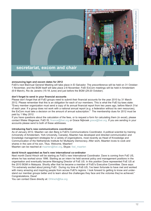

#### **announcing bgm and excom dates for 2012**

FoEI's next Biannual General Meeting will take place in El Salvador. The preconference will be held on 31 October-1 November, and the BGM itself will take place 2-8 November. FoEI ExCom meetings will be held in Amsterdam (6-9 March), Rio de Janeiro (15-18 June) and just before the BGM (29-20 October).

#### **don't forget to send in your financial accounts**

Please don't forget that all FoEI groups need to submit their financial accounts for the year 2010 by 31 March 2012. Please remember that this is an obligation for each of our members. This is what the FoEI by-laws state: "Every member organization must send a copy of its annual financial report from two years ago, before March 31st of each year. If a group does not work with a national annual report (e.g. a federation without its own resources), the ExCom must take a decision on the amount of annual subscription." The membership dues for 2012 must be paid by 1 May 2012.

If you have questions about the calculation of the fees, or to request a form for calculating them (in excel), please contact Wieke Wagenaar, FoEI IS, finance@foei.org or Grace Nijbroek grace@foei.org. If you are sending in your accounts please send to both of these addresses.

#### **introducing foei's new communications coordinator**

As of January 2012, Maarten van den Berg is FoEI's Communications Coordinator. A political scientist by training (University of Amsterdam, York University, Canada), Maarten has developed and directed communication and knowledge management strategies for a variety of organisations, most recently as Head of Knowledge and Communication of the Netherlands Institute for Multiparty Democracy. After work, Maarten loves to cook and shares in the care of his son, Titus. Welcome, Maarten!

Maarten can be reached at maarten@foei.org, Skype: foei\_maarten

#### **david hirsch appointed as foei's new international co-ordinator**

Next month David Hirsch will be starting as FoEI's new International Coordinator. Dave is coming from FoE US, where he has worked since 1996. Starting as an intern he held several policy and management positions in the organisation and eventually became Managing Director of FoE US. In this position Dave represented FoE US at the 2010 BGM in Malaysia. Shortly after that he became a member of FoEI's Executive Committee. Dave says: "I'm extremely excited about joining FoEI. During my time at FoE-US, I've been fortunate to have met and worked with many amazing and inspiring people from across FoEI's regions. I look forward to getting to know and understand our member groups better and to learn about the challenges they face and the victories they've achieved." Congratulations, Dave!

You can contact Dave directly at: DHirsch@foe.org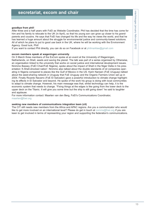#### **goodbye from phil!**

After three and a half years with FoEI as Website Coordinator, Phil has decided that the time has come for him and his family to relocate to the UK (in April), so that his young son can grow up closer to his grandparents and cousins. He says that FoEI has changed his life and the way he views the world, and that he has learned a huge amount about the struggle for environmental justice and community-based solutions. All of which he plans to put to good use back in the UK, where he will be working with the Environment Agency. Good luck, Phil!

If you want to contact Phil directly, you can do so on Facebook or at philmarklee@gmail.com

#### **excom members speak at wageningen university**

On 5 March three members of the ExCom spoke at an event at the University of Wageningen,

Netherlands, on Shell, seeds and saving the planet. The talk was part of a series organised by Otherwise, an organisation linked to the university that works on social justice and international development issues. Nnimmo Bassey (FoEI Chair/FoE Nigeria), spoke about the impact of Shell in the Niger Delta in his presentation 'A Shell-shocked nation'. Nnimmo also talked about the double standards of oil companies operating in Nigeria compared to places like the Gulf of Mexico in the US. Karin Nansen (FoE Uruguay) talked about the seed-sharing network in Uruguay that FoE Uruguay and the Organic Farmers Union set up in 2004. Finally Ricardo Navarro (FoE El Salvador) gave a powerful introduction to climate change highlighting its effects in El Salvador and beyond. He spoke of the work his group is doing with local communities to adapt to climate change. However, his main message was that, whilst technology can help, it is the economic system that needs to change. "Fixing things at the edges is like going from the lower deck to the upper deck on the Titanic. It will give you some time but the ship is still going down" he said to laughter and applause.

For more information contact: Maarten van den Berg, FoEI's Communications Coordinator, maarten@foei.org

#### **seeking new members of communications integration team (cit)**

The CIT still needs new members from the Africa and APAC regions. Are you a communicator who would like to get more involved on an international level? Please do get in touch at comms@foei.org if you are keen to get involved in terms of representing your region and supporting the federation's communications.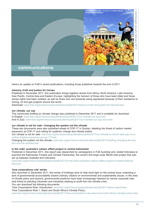

Here's an update on FoEI's recent publications, including those published towards the end of 2011:

#### **memory, truth and justice for heroes**

Published in November 2011, this publication brings together stories from Africa, North America, Latin America, Asia Pacific, Central Asia and Eastern Europe, highlighting the heroism of those who have been killed and those whose rights had been violated, as well as those who are presently being oppressed because of their resistance to mining, oil and gas projects around the world.

Download: www.foei.org/en/resources/publications/pdfs/2011/memory-truth-and-justice-for-heroes/view

#### **our climate, our say**

This community briefing on climate change was published in December 2011 and is available for download: In English: www.foei.org/en/resources/publications/pdfs/2011/our-climate-our-say/view And in Zulu: www.foei.org/en/resources/publications/pdfs/2011/our-climate-our-say-zulu/view

#### **our climate is not for sale / changing the system not the climate**

These two documents were also published ahead of COP-17 in Durban, detailing the threat of carbon market expansion at COP-17 and calling for systemic change and climate justice

Our climate is not for sale: www.foei.org/en/resources/publications/pdfs/2011/our-climate-is-not-for-sale-say-no-tocarbon-trading-expansion-at-cop-17/view

Changing the system not the climate: www.foei.org/en/resources/publications/pdfs/2011/briefing-changing-the-system-not-the-climate/view

#### **in the redd: australia's carbon offset project in central kalimantan**

Published in December 2011, this report was researched by campaigners in FoE Australia who visited Indonesia to examine the Kalimantan Forests and Climate Partnership, the world's first large scale REDD pilot project that was set up between Australia and Indonesia.

www.foei.org/en/resources/publications/pdfs/2011/in-the-redd-australias-carbon-offset-project-in-central-kalimantan/view

#### **'how corporations rule' series**

Also launched in December 2011, this series of briefings aims to help shed light on the central issue underlying a lack of governmental accountability toward ordinary citizens on environmental and sustainability issues. In the area of climate policy and beyond, governmental positions have been increasingly hijacked by narrow corporate interests linked to polluting industries and industries seeking to profit from the climate crisis. You can download the following documents:

'How Corporations Rule: Introduction' www.foei.org/en/resources/publications/pdfs/2011/sasol-report/view 'How Corporations Rule 1: Sasol and South Africa's Climate Policy',

www.foei.org/en/resources/publications/pdfs/2011/how-corporations-rule-sasol-and-south-africas-climate-policy/view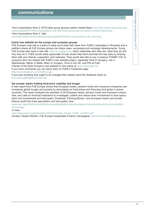'How Corporations Rule 2: IETA lobby group ignores carbon market flaws' www.foei.org/en/resources/publications/pdfs/2011/how-corporations-rule-ieta-lobby-group-ignores-carbon-market-flaws/view 'How Corporations Rule 3: Vale'

www.foei.org/en/resources/publications/pdfs/2012/how-corporations-rule-vale/view

#### **brand new website for foe europe and european groups**

FoE Europe's new site is a place to keep up-to-date with news from FoEE's campaigns in Brussels and a platform where all FoE Europe groups can share news, successes and campaign developments. Young FoE Europe also have a new site: www.youngfoee.org, which celebrates who they are, what they do and why they do it. FoEE would really appreciate it if you would help them promote the new sites by sharing them with your friends, supporters, and networks. They would also like to say a massive THANK YOU to everyone who has helped with FoEE's new website project, especially Gina in Hungary, Job in Netherlands, Martin in Malta, Marci in Hungary, Chris in the UK, and Phil at FoEI.

Friends of the Earth Europe's new website is now online at www.foeeurope.org

If you have comments you can leave them on FoEE's Facebook page:

http://www.facebook.com/FoEEurope

If you spot anything that ought to be changed then please send this feedback direct to: francesca.gater@foeeurope.org

#### **foe europe: banks fuelling food price volatility and hunger**

A new report from FoE Europe shows that European banks, pension funds and insurance companies are increasing global hunger and poverty by speculating on food prices and financing land grabs in poorer countries. The report analyses the activities of 29 European banks, pension funds and insurance companies, and calls on financial institutions to investigate, publish and reduce their involvement in food speculation and investments and land grabs. Download 'Farming Money: how European banks and private finance profit from food speculation and land grabs' here:

www.foei.org/en/what-we-do/food-sovereignty/latest-news/european-banks-fuelling-food-price-volatilityand-hunger

or here:

www.foeeurope.org/publications/2012/Farming\_money\_FoEE\_Jan2012.pdf

Contact: Daniel Pentzlin, FoE Europe Sustainable Finance Campaigner, daniel.pentzlin@foeeurope.org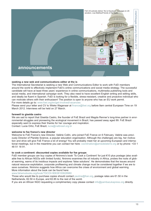

#### **seeking a new web and communications editor at the is**

The International Secretariat is seeking a new Web and Communications Editor to work with FoEI members around the world to effectively implement FoEI's online communications and social media strategy. The successful candidate will have at least three years' experience in online communications, multimedia publishing tools and social media, and international campaign work. They also need to have excellent English writing and editing skills, and ideally be fluent in Spanish. FoEI is looking for a flexible, stress-resistant, creative and proactive individual who can motivate others with their enthusiasm! The position is open to anyone who has an EU work permit. For more details go to: www.foei.org/en/get-involved/vacancies

Please send your letter and CV to Wieke Wagenaar at finance@foei.org before 9am central European Time on 19 March 2012. Interviews will be held on 27 March.

#### **farewell to giselda castro**

We are sad to report that Giselda Castro, the founder of FoE Brazil and Magda Renner's long-time partner in environmental struggles and pioneering the ecological movement in Brazil, has passed away aged 89. FoE Brazil especially want to express their thanks for her courage and inspiration. Contact: Lucia Ortíz, FoE Brazil, lucia@natbrasil.org.br

#### **welcome to foe france's new director**

Welcome to FoE France's new Director, Valérie Collin, who joined FoE France on 6 February. Valérie was previously Director of Planète Science, a popular education organisation. Although the challenges are big, her motivation and drive will give FoE France a lot of energy! You will probably meet her at upcoming European and international meetings, but in the meantime you can contact her here: coordination@amisdelaterre.org or by phone: +33 1 48 51 18 91.

#### **to cook a continent: discounted copies available for foe groups**

FoEI member groups can buy copies of Nnimmo's book 'To Cook a Continent' for just €10 plus postage (also available free to African NGOs with limited funds). Nnimmo examines the oil industry in Africa, probes the roots of global warming, warns of its insidious impacts and explores 'false solutions'. He demonstrates that the issues around natural resource exploitation, corporate profiteering and climate change must be considered together if we are to save ourselves. Nnimmo suggests how Africa can overcome the crises of environment and global warming. More information about the book can be found here:

www.fahamubooks.org/book/?GCOI=90638100628980

Those who would like to purchase copies should contact pauline@foei.org, postage rates are €1.50 in the Netherlands, €2.50 in Europe, and €2.85 to the rest of the world.

If you are an African NGO requesting a complimentary copy please contact info@pambazukapress.org directly.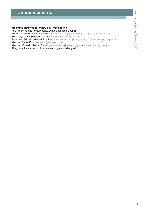#### **argentina: notification of new governing council**

FoE Argentina has formally renewed its Governing Council:

President: Natalia Paola Salvático, nataliasalvatico@amigos.org.ar / agua@amigos.org.ar

Secretary: Laura Soledad Tentori, lauratentori@amigos.org.ar

Treasurer: Eduardo Manuel Sánchez, eduardosanches@amigos.org.ar / educacion@amigos.org.ar Member: Laura Iñón, laurainon@amigos.org.ar

Member: Gonzalo Hernán Daprá, gonzalodapra@amigos.org.ar / difusión@amigos.org.ar They hope for success in this new era of great challenges!

g es january-february 2 012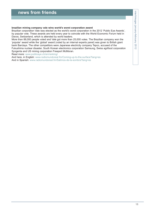#### **brazilian mining company vale wins world's worst corporation award**

Brazilian corporation Vale was elected as the world's worst corporation in the 2012 'Public Eye Awards', by popular vote. These awards are held every year to coincide with the World Economic Forum held in Davos, Switzerland, which is attended by world leaders.

More than 88,000 people voted and Vale got more than 25,000 votes. The Brazilian company won the 'popular' award while the 'global' award (voted by an internal experts panel) was given to British giant bank Barclays. The other competitors were Japanese electricity company Tepco, accused of the Fukushima nuclear disaster, South Korean electronics corporation Samsung, Swiss agrifood corporation Syngenta and US mining corporation Freeport McMoran.

Read more: www.publiceye.ch/en/ranking/

And here, in English: www.radiomundoreal.fm/Coming-up-to-the-surface?lang=es And in Spanish: www.radiomundoreal.fm/Salimos-de-la-sombra?lang=es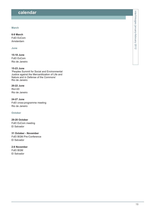## **calendar** interline and interline and interline and interline and interline and interline and interline and in<br>The contract of the contract of the contract of the contract of the contract of the contract of the contract

#### **March**

**6-9 March** FoEI ExCom Amsterdam

#### **June**

**15-18 June** FoEI ExCom Rio de Janeiro

#### **15-23 June**

'Peoples Summit for Social and Environmental Justice against the Mercantilization of Life and Nature and in Defense of the Commons' Rio de Janeiro

**20-22 June** Rio+20 Rio de Janeiro

**24-27 June** FoEI cross-programme meeting Rio de Janeiro

#### **October**

**29-20 October** FoEI ExCom meeting El Salvador

**31 October - November** FoEI BGM Pre-Conference El Salvador

**2-8 Novembe**r FoEI BGM El Salvador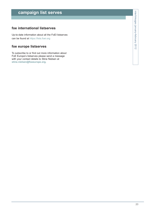## **campaign list serves**

### **foe international listserves**

Up-to-date information about all the FoEI listserves can be found at https://lists.foei.org

## **foe europe listserves**

To subscribe to or find out more information about FoE Europe's listserves please send a message with your contact details to Stine Nielsen at **stine.nielsen@foeeurope.org.**

g es january-february 2 012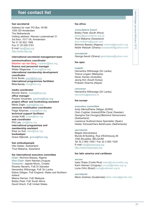## **foei contact list** interlinka

#### **foei secretariat**

Address for mail: PO Box 19199 1000 GD Amsterdam The Netherlands Visiting address: Nieuwe Looiersstraat 31 3rd floor, 1017 VA, Amsterdam Tel 31 20 622 1369 Fax 31 20 639 2181 E-mail foei@foei.org http://www.foei.org

#### **international secretariat management team communications coordinator**

Maarten van den Berg, maarten@foei.org **finance and personnel manager** Wieke Wagenaar, finance@foei.org **international membership development coordinator**

Erick Burke, erick@foei.org **international programmes facilitator** Nina Ascoly nina@foei.org

#### **media coordinator**

Niccolo Sarno, media@foei.org **office manager** Pauline Vincenten, **pauline@foei.org project officer and fundraising assistant** Marta Zogbi, marta@foei.org **resource mobilisation coordinator** Paige Shipman, paige@foei.org **technical support facilitator** Joukje Kolff, joukje@foei.org **web coordinator** Phil Lee, phil@foei.org **international programmes and membership assistant** Elise Le Guil, elise@foei.org **bookeekper** Grace Nijbroek, **grace@foei.org**

#### **foei ombudspeople**

Otto Sieber, Switzerland Thuli Makama, Swaziland

#### **foe international executive committee**

**Chair:** Nnimmo Bassey, Nigeria **Vice Chair:** Karin Nansen,Uruguay **Treasurer:** Jagoda Munic, Croatia Ricardo Navarro, FoE El Salvador Hemantha Withanage, FoE Sri Lanka Elaine Gilligan, FoE England, Wales and Northern Ireland Meena Raman, FoE Malaysia Bobby Peek, FoE South Africa David Hirsch, FoE United States

#### **foe africa**

*consultative board* Bobby Peek (South Africa) bobby@groundwork.org.za Thuli Makama (Swaziland) thuli.makama@gmail.com Nnimmo Bassey (Nigeria) nnimmo@eraction.org Noble Wadzah (Ghana) kowadzah9@yahoo.com

#### *secretariat*

George Awudi (Ghana) geobrigkwa@yahoo.com

#### **foe apac**

#### *majelis*

Hemantha Withanage (Sri Lanka) Theiva Lingam (Malaysia) Derec Davies (Australia) Jeong Kim (South Korea) Prakash Sharma (Nepal)

#### *convenor*

Hemantha Withanage (Sri Lanka) hemantha@ejustice.lk

#### **foe europe**

#### *executive committee*

Andy Atkins/Elaine Gilligan (EWNI) Oisin Coghlan (Ireland)/Ellie Cijvat (Sweden) Georgina Gal (Hungary)/Bertrand Sansonnens (Switzerland) Lawrence Sudlow/Liliane Spendeler (Spain) Hester Schoute/Hans Berkhuizen (Netherlands)

#### *secretariat*

Magda Stoczkiewicz Mundo-B Building, Rue d'Edimbourg 26 1050 Bruxelles, BELGIUM Tel 32 2 893 1000 / Fax 32 2 893 1035 E-mail info@foeeurope.org http://www.foeeurope.org

#### **foe latin america and caribbean**

#### *excom*

Isaac Rojas (Costa Rica) isaac@coecoceiba.org Karin Nansen (Uruguay) urusust@redes.org.uy Lúcia Ortíz (Brazil) lucia@natbrasil.org.br

#### *secretariat*

Mario Godinez (Guatemala) tzikin.mario@gmail.com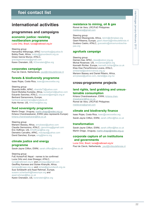## **foei** contact list

## **international activities**

### **programmes and campaigns**

#### **economic justice: resisting neoliberalism programme**

Lucia Ortiz, Brazil, lucia@natbrasil.org.br

Steering group:

Hemantha Withanage, APAC hemantha@ejustice.lk Bobby Peek, Africa, bobby@groundwork.org.za Grace Garcia Munoz, ATALC, graciagarcimunoz@gmail.com Karen Orenstein, US, KOrenstein@foe.org

#### **corporates campaign**

Paul de Clerck, Netherlands, paul@milieudefensie.nl

#### **forests & biodiversity programme**

Isaac Rojas, Costa Rica, isaac@coecoceiba.org

Steering group: Shamila Ariffin, APAC, shamila73@yahoo.com David Mutsitsa Kureeba, Africa, kureebamd@yahoo.com Eduardo Sanchez, ATALC, educacion@amigos.org.ar Bertrand Sansonnens, Europe, bertrand.sansonnens@pronatura.ch Kate Horner, US, KHorner@foe.org

#### **food sovereignty programme**

Martín Drago, Uruguay, martin.drago@redes.org.uy Kirtana Chandrasekaran, EWNI (also represents Europe) kirtana.chandrasekaran@foe.co.uk

Steering group: Mariann Bassey, Africa, annybassi@yahoo.com Claudia Germonimo, ATALC, cjeronimog@gmail.com Eric Hoffman, US, EHoffman@foe.org Demetrio Carvalho, APAC, maulapa@yahoo.com

#### **climate justice and energy programme**

David Sanchez, Europe, omg@tierra.org

Sarah-Jayne Clifton, EWNI, sarah.clifton@foe.co.uk

Steering group: FoE Korea/FoE Nepal - names to be confirmed Lucia Ortiz and Jose Elosegui, ATALC, lucia@natbrasil.org.br and jelosegui@gmail.com Geoffrey Kamese and Siziwe Khanyile, Africa, kamese@nape.org.uy and siziwe@groundwork.org.za Susi Schebarth and Asad Rehman, Europe, susann.scherbarth@foeeurope.org and asad.rehman@foe.co.uk Karen Orenstein, US, korenstein@foe.org

#### **resistance to mining, oil & gas**

Romel de Vera, LRC/FoE Philippines meldevera@gmail.com

#### Steering group:

Reinford Mwangonde, Africa, reinm@cfjmalawi.org Geert Ritsema, Europe, geert.ritsema@milieudefensie.nl Gustavo Castro, ATALC, guscastro@otrosmundoschiapas.org

#### **agrofuels campaign**

Steering group:

Damien Ase, APAC, dase@celcor.org.pg Michal Rosenoer, US, mrosenoer@foe.org Kenneth Richter, Europe, kenneth.richter@foe.co.uk Elias Diaz Pena/Simone Lovera, ATALC, ambiental@sobrevivencia.org.py Mariann Bassey and Daniel Ribeiro, Africa, annybassi@yahoo.com, daniel@ja.org.mz

### **cross-programme projects**

#### **land rights, land grabbing and unsustainable consumption**

Kirtana Chandrasekaran, EWNI, kirtana.chandrasekaran@foe.co.uk, Romel de Vera, LRC/FoE Philippines meldevera@gmail.com

#### **climate and biodiversity finance**

Isaac Rojas, Costa Rica, isaac@coecoceiba.org Sarah-Jayne Clifton, EWNI, sarah.clifton@foe.co.uk

#### **transformation**

Sarah-Jayne Clifton, EWNI, sarah.clifton@foe.co.uk Martín Drago, Uruguay, martin.drago@redes.org.uy

#### **corporate capture of un institutions and governments**

Lucia Ortiz, Brazil, lucia@natbrasil.org.br

Paul de Clerck, Netherlands, paul@milieudefensie.nl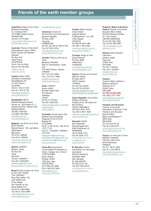**Argentina** *Amigos de la Tierra* [Eduardo Sánchez] Av. Córdoba 5051 C1414BAI, Buenos Aires ARGENTINA Tel 5411 4773 5947 amigosdelatierra@amigos.org.ar www.amigos.org.ar

**Australia** *Friends of the Earth* [International Liaison Office: Derec Davies and Marisol **Salinas1** PO Box 222 3065 Fitzroy AUSTRALIA Tel 61 39 419 8700 Fax 61 39 416 2081 ilo@foe.org.au www.foe.org.au

**Austria** *Global 2000* [Christina Hirschbeck] Neustiftgasse 36 A-1070 Vienna AUSTRIA Tel 43 1 812 57 300 Fax 43 1 812 57 28 office@global2000.at www.global2000.at

#### **Bangladesh** *BELA*

[Syeda Rizwana Hasan] House no. 15/A Road no. 3 Dhanmondi R/A, Dhaka-1205 BANGLADESH Tel 880 2 861428 Fax 880 2 8612957 bela@bangla.net www.belabangla.org

**Belgium** *Les Amis de la Terre* [Ezio Gandin] Mundo Namur - 98, rue Nanon 5000 Namur BELGICA Tel 32 81 390639 Fax 32 81 390638 contact@amisdelaterre.be

www.amisdelaterre.be

**Bolivia** *CERDET* [Ruben Cuba] PO Box 83 Tarija BOLIVIA Tel 591 4 6635471 Fax 591 4 6633454 **guidodcf@yahoo.com** pilcomay@mail.cosett.com.bo

**Brazil** *Nucleo Amigos da Terra* [Lucia Ortiz Childs] The CASANAT Rua Olavo Bilac 192 CEP 90040-310 Porto Alegre Rio Grande do Sul Brazil 90040-310 Tel 55 51 3332 8884 Fax 55 51 3332 8884 natbrasil@natbrasil.org.br www.natbrasil.org.br

#### lucia@natbrasil.org.br

**Cameroon** *Centre for Environment and Development* [Samuel Nguiffo] PO Box 3430 Yaounde CAMEROON Tel 237 222 38 57/ 996 57 98 Fax 237 222 38 59 infos@cedcameroun.org www.cedcameroun.org

**Canada** *FoE/Les Amis de la Terre* [Beatrice Olivastri] 260 St. Patrickstreet., Suite 300 K1N 5K5 Ottawa, Ontario CANADA Tel 1 613 241 0085 Fax 1 613 241 7998 foe@foecanada.org www.foecanada.org

**Chile** *CODEFF* [Jenia Joffre] Ernesto Reyes 035, Providencia Santiago **CHILE** Tel 56 2 7772534 Fax 56 2 2691978 administra@codeff.cl presidencia@codeff.cl www.codeff.cl

**Colombia** *Censat Agua Viva* [Tatiana Roa Avendaño] Diagonal 24 No 27A-42 Bogota DC COLOMBIA Tel 57 1 244 24 65 / 244 05 81 / 337 77 09 Fax 57 1 2442465 / 2440581 / 3377709 **infogeneral@censat.org administracion@censat.org coordinacion@censat.org** www.censat.org

**Costa Rica** *Asociacion Comunidades Ecologistas la Ceiba / Amigos de la Tierra / COECOCEIBA* [Isaac Rojas] Partado 12423 1000 San Jose COSTA RICA Tel 2 506 223 3925 Fax 2 506 223 3925 gavitza@ice.co.cr www.coecoceiba.org

**Croatia** *Zelena Akcija / Green Action* [Jagoda Munic] Frankopanska 1 pp. 952 1000 Zagreb **CROATIA** Tel 385 99 4813 096 Fax 385 1 4813 096 zelena-akcija@zg.htnet.hr www.zelena-akcija.hr

**Curaçao** *Amigu di Tera* [Lloyd Narain] PO Box 4688 Willemstad CURAÇAO narain@interneeds.net www.amiguditera.com

**Cyprus** *Friends of the Earth* [Savvas Zotos] PO Box 53411 3302 Limassol **CYPRUS** Tel 357 25 347042 Fax 357 25 347043 **foecyprus@yahoo.com. www.foecyprus.weebly.com**

**Czech Republic** *Hnutí Duha* [Vojtech Kotecky]

Pratele Zeme CR Udolni 33 602 00 Brno CZECH REPUBLIC Tel 420 5 4521 4431 Fax 420 5 4521 4429 vojtech.kotecky@hnutiduha.cz www.hnutiduha.cz

**Denmark** *NOAH* [Kim Ejlertsen]

Norrebrogade 39/1 2200 Kobenhavn N DENMARK Tel 45 3536 1212 Fax 45 3536 1217 kimejler@post7.tele.dk noah@noah.dk www.noah.dk

**El Salvador** *Centro Salvadoreo de Tecnologa Apropiada* [Ricardo Navarro] Apartado 3065 San Salvador EL SALVADOR Tel 503 2213 140 Fax 503 2220 0479 cesta@cesta-foe.org.sv www.cesta-foe.org

#### **England, Wales & Northern**

g es

january-february

january-february

2  $\overline{\circ}$ 

**Ireland** *Friends of the Earth* [Contact Mike Childs] 26-28 Underwood Street N1 7JQ London UNITED KINGDOM Tel 44 207 490 1555 Fax 44 207 490 0881 mike.childs@foe.co.uk www.foe.co.uk

**Estonia** *Eesti Roheline Liikumine* [Jaanus Valja] Tiigi 8-24 51003 Tartu ESTONIA Tel 372 7 422532 Fax 372 7 422084 info@roheline.ee www.roheline.ee

#### **Finland**

*Suomen Maan ystävät ry* [Riikka Leskinen] Kirkkotie 6-10 20540 Turku FINLAND

#### **Tel 358 45 886 3958**

Fax 358 2 237 1670 toimisto@maanystavat.fi www.maanystavat.fi

#### **Flanders and Brussels**

*Friends of the Earth Vlaanderen & Brussel / FoE Flanders and Brussels* [David Heller] Maria Hendrikaplein 5 9000 Gent BELGIUM Tel 32 9 242 87 52 Fax 32 9 242 8751 contact@motherearth.org www.motherearth.org

**France** *Les Amis de la Terre* [Martine Laplante] 2 B Rue Jules Ferry 93100 Montreuil FRANCE Tel 33 1 48 51 3222 Fax 33 1 48 519512 france@amisdelaterre.org www.amisdelaterre.org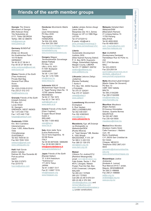**Georgia** *The Greens Movement of Georgia* [Mrs Ketevan Kiria] 10a Nutsubidze str. 0177, Tbilisi GEORGIA Tel/fax: 995 32 386978 info@greens.ge www.greens.ge

#### **Germany** *BUND/FoE Germany* [Antje von Broock]

Am Koellnischen Park 1 10179 Berlin GERMANY Tel 49 30 27 58 64 0 Fax 49 30 27 58 64 40 antje.vonbroock@bund.net www.bund.net

**Ghana** *Friends of the Earth* [Theo Anderson] Private Mail Bag General Post Office Accra **GHANA** Tel +233-21030-512312 Fax 233 21 512 313 foe@foeghana.org

#### **Grenada** *Friends of the Earth* [Joseph Antoine] PO Box 521 Lucas Street St. George's GRENADA, WEST INDIES Tel 1 473 440 7192 Fax 1 473 440 7192 foegda@caribsurf.com

**Guatemala** *CEIBA* Km. 56.5 Carretera Interamericana Casa 1-265, Aldea Buena Vista Chimaltenango **GUATEMALA** Tel 502 7839 60 33 Fax 502 7839 1033 ceibauno@gmail.com www.ceibaguate.org

**Haiti** *Haiti Survie* [Aldrin Calixte] Delmas 65, Rue Durandis #2 Port-au-prince HAITI Tel 509 2137973 Fax 2210172 hsurvie@yahoo.com

**Honduras** *Movimiento Madre Tierra* [Juan Almendares] PO Box 2035 **Tegucigalpa** HONDURAS Tel 504 232 4204 Fax 504 235 3387 **almendarez.bonilla@gmail.com** movimien@movimientomadretierra.org www.movimientomadretierra.org

#### **Hungary** *Magyar Termeszetvedok Szovetsege* [Istvan Farkas] PO Box 123 Ulloi u 91/b, III/21 H-1091 Budapest HUNGARY Tel 36 1 216 7297 Fax 36 1 216 7295 info@mtvsz.hu www.mtvsz.hu

**Indonesia** *WALHI* [Muhammad Teguh Surya] Jl. Tegal Parang Utara No. 14 12790 Jakarta Selatan INDONESIA Tel 62 21 794 1672 Fax 62 21 794 1673 walhi@walhi.or.id www.walhi.or.id

**Ireland** *Friends of the Earth* [Oisin Coghlan] 9 Upper Mount Street Dublin 2 IRELAND Tel 353 1 639 4652 oisin@foe.ie www.foe.ie

**Italy** *Amici della Terra* [Laura Radiconcini] Via di Torre Argentina, 18 00186 Rome **ITALY** Tel 39 06 6875308 / 6868289 Fax 39 06 683 08610 **info@amicidellaterra.it**

www.amicidellaterra.it

**Japan** *Friends of the Earth* [Randal Helten] 1F 3-30-8 Ikebukuro \*Toshima-ku\* 171-0014 Tokyo JAPAN Tel 81 3 6907 7217 Fax 81 3 6907 7219 info@foejapan.org www.foejapan.org

**Latvia** *Latvijas Zemes draugi* [Janis Ulme] Margrietas iela 16-3, Zemes Draugi c/o VIF LV-1966 Riga LATVIA Tel 37127225112 E-pasts: info@vak.lv janis.ulme@zemesdraugi.lv http://www.zemesdraugi.lv/lv/

#### **Liberia**

*Sustainable Development Institute (SDI)* [Silas Kpanan'Ayoung Siakor] P. O. Box 5678, Duarzohn Village, Robertsfield Highway Margibi County, LIBERIA Tel 231 77 089947/ 206702 ssiakor@sdiliberia.org www.sdiliberia.org

**Lithuania** *Lietuvos Zaliuju Judejimas* [Renata Perlibaite] I. Kanto 6 P.O. Box 160, 44002 Kaunas LITHUANIA Tel 370 37 324241 Fax 370 37 324201 zalieji@zalieji.lt www.zalieji.lt

**Luxembourg** *Mouvement Ecologique* 6, Rue Vauban 2663 LUXEMBOURG Tel 352 439 0301 Fax 352 43903043 meco@oeko.lu **www.oekozenter.lu**

**Macedonia, f.y.r. of** *Dvizenje na Ekologistite na Makedonija/DEM* [Ruska Miceva] ul. "Vasil Gjorgov" BB, Baraka 6, 1000 Skopje MACEDONIA, F.Y.R. OF Tel 389 2 3 220 518 Fax 389 23 128 075 dem@dem.org.mk www.dem.org.mk

#### **Malawi**

*Citizens For Justice(CFJ)* [Reinford Mwangonde] email: reinm@cfjmalawi.org Falls Estate, Sector 1, Plot #574, Lilongwe, Malawi Postal: Post Dot Net, Box X100 Crossroad, Lilongwe, MALAWI Tel 265 (0)1 727828 265 (0)1 727822 Cell 265 (0) 99 9 678 031 265 (0) 88 4 376 359 cfimalawi@yahoo.com and remwa1@yahoo.com www.citizensforjusticemalawi.o rg (under construction)

**Malaysia** *Sahabat Alam Malaysia/SAM* [Meenakshi Raman] 21 Lintang Delima 15 11700 Penang MALAYSIA Tel 60 4659 6930 Fax 60 4659 6931 sam\_inquiry@yahoo.com www.foe-malaysia.org

### **Mali** *GUAMINA*

[Souleymane Dembele] Hamdallaye Rue 42 Porte no. 232 B.P. 2744 Bamako MALI Tel 223-225910 Fax 223-293134 guamina@buroticservices.net.ml dembele\_z@yahoo.fr

www.promali.org/guamina

#### **Malta** *Moviment ghall-Ambjent*

[Martin Galea De Giovanni] PO Box 13 CMR 1000 Valletta MAI TA Tel 356 21342269 Fax 356 21342269 info@foemalta.org www.foemalta.org

#### **Mauritius** *Maudesco*

[Rajen Awotar] 63 Avenue Hirondelles Sodnac, Quartre Bornes **MAURITIUS** Tel 230 467 2565 Fax 230 424 8500 maudesco@intnet.mu

#### **Mexico***Otros Mundos*

[Gustavo Castro Soto] Calle Francisco I. Madero num. 49 Barrio Guadalupe C.P. 29230 San Cristóbal de las Casas Chiapas, MEXICO Telephone 0052 (967) 631 6643 guscastro@otrosmundoschiapas.org www.otrosmundoschiapas.org

#### **Mozambique** *Justica*

*Ambiental* [Anabela A. Lemos] Rua Marconi #110 1 andar, Maputo, MOZAMBIQUE Tel 258 21 496668 Fax 258 21 496668 ja@ja.org.mz anabela@ja.org.mz www.ja.org.mz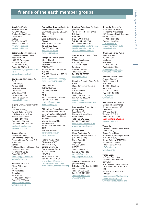**Nepal** *Pro-Public* [Prakash Sharma] PO BOX 14307 Gautam Budha Marga Kathmandu **NFPAL** Tel 977-1-268023 Fax 977-1-268022 info@propublic.org www.propublic.org

**Netherlands** *Milieudefensie* [Contact Mia Liesenmeijer] Postbus 19199 1000 GD Amsterdam NETHERLANDS Tel 31-20-5507300 Fax 31-20-5507310 mia.liesenmeijer@milieudefensie.nl www.milieudefensie.nl

**New Zealand** *Friends of the Earth* [John Whyte] PO Box 5599 Wellesley Street 1 Auckland NEW ZEALAND Tel 64 9 3609149 Fax 64 9 3609149 foenz@kcbbs.gen.nz

**Nigeria** *Environmental Rights Action* [Nnimmo Bassey] PO Box 10577 Ugbowo 214 Uselu -Lagos Road Benin City NIGERIA Tel 234 52 880619 Fax 234 52 600165 Cell +234 803 727 4395 eraction@eraction.org www.eraction.org

**Norway** *Norges Naturvernforbund* [Jan Thomas Odegaard] Postal address: Grensen 9 B, 0159 Oslo, **Norway** Visiting address: Miljohuset G9 i Grensen 9 B, Oslo Tel 47 23 10 96 10 Fax 47 23 10 96 11

naturvern@naturvern.no www.naturvern.no

**Palestine** *PENGON* [Abeer Al Butmeh] .<br>PO Box 565 PARC Building Ramallah **PALESTINE** Tel 972 2 6565890/87 Fax 972 2 5857688 outreach@pengon.org www.pengon.org

**Papua New Guinea** *Center for Environmental Law and Community Rights / CELCOR* [Damien Ase] PO BOX 4373 Boroko, National Capital District PAPUA NEW GUINEA Tel 675 323 4509 Fax 675 311 2106 info@celcor.org.pg www.celcor.org.pg

**Paraguay** *Sobrevivencia* [Oscar Rivas] Casilla de Correos 1380 Asuncion **PARAGUAY** Tel 595 21 480 182/ 595 21 425 716 Fax 595 21 480 182/ 595 21 425 716 coordina@sobrevivencia.org.py www.sobrevivencia.org.py

**Peru** *LABOR* [Edwin Guzmán] Urb. Magisterial K-12 Ilo

**PERU** Tel 51 53 481816 / 481208 Fax 51 54 781208 edwing@labor.org.pe www.labor.org.pe

**Philippines** *Legal Rights and Natural Resources Center* [Jocelyn Matias Villanueva] 41-B Mapagsangguni Street, Sikatuna Village, Quezon City, PHILIPPINES Tel 632 928 1372/632 436 1101 Fax 632 9207172 lrcksk@info.com.ph

www.lrcksk.org **Poland** *Polski Klub*

*Ekologiczny/PKE* [Urszula Burkot] Zarząd Główny ul. Romanowicza 2/410 30-702 Kraków POLAND Tel 48 12 423 20 47 Fax 48 12 423 20 98 urszulaburkot@wp.pl or biuro@zgpke.most.org.pl www.polskiklubekologiczny.org **Scotland** *Friends of the Earth* [Fiona Brown] Thorn House 5 Rose Street Edinburgh EH2 2PR SCOTLAND (U.K.) Tel: 44 131 243 2700 Fax: 44131 243 2725 reception@foe-scotland.org.uk info@foe-scotland.org.uk www.foe-scotland.org.uk

**Sierra Leone** *Friends of the Earth* [Olatunde Johnson] P.M. Bag 950 33 Robert Street Freetown SIERRA LEONE Tel 232-22-226577 Fax 232-22-226577 foesl@sierratel.sl

**Slovakia** *Friends of the Earth-CEPA* [Juraj Zamkovsky]Ponicka Huta 65 976 33 Poniky SLOVAKIA Tel 421 48 4193718 Fax 421 48 4193718 cepa@foe.sk www.priateliazeme.sk/cepa

**South Africa** *GroundWork* [Bobby Peek] P.O. Box 2375 Pietermaritzburg 3200 South Africa Tel 27 33 342 5662 Fax 27 33 342 5665 team@groundwork.org.za www.groundwork.org.za

#### **South Korea**

*Korea Federation for Environmental Movements* [Ms Hyun ji Kim] NuHa-Dong 251 Jongno-gu 110-806 Seoul KOREA Tel 82-2-735-7000 Fax 82-2-730-1240 arqus@kfem.or.kr http://english.kfem.or.kr/

**Spain** *Amigos de la Tierra* [Elena Bonilla] C/Cadarso 16, Bajo E, 28008 Madrid, SPAIN Tel 34-91-306-9900 Fax 34-91-313-4893 gerencia@tierra.org www.tierra.org

**Sri Lanka** *Centre For Environmental Justice* [Hemantha Withanage] 20A, Kuruppu Road, Colombo 08, SRI LANKA Tel 941 1268 3282 Fax 941 1268 3282 info@ejustice.lk hemanthaw@eureka.lk www.ejustice.lk

**Swaziland** *Yonge Nawe* [Thuli Makama] PO Box 2061 Mbabane Swaziland Tel 268 404 7701 Fax 268 404 1394 yonawe@realnet.co.sz www.yongenawe.com

**Sweden** *Miljoforbundet Jordens Vanner* [Ankin Ljungman] Box 7048 S-402 31 Göteborg SWEDEN Tel 46 31 12 1808 Fax 46 31 12 1817 info@mjv.se www.mjv.se

**Switzerland** *Pro Natura* [Bertrand Sansonnens] Dornacherstrasse 192 4053 Basel **SWITZERLAND** Tel 41 61 317 9191 Fax 41 61 317 9266 **mailbox@pronatura.ch** www.pronatura.ch

#### **Tanzania**

*Lawyer's Environmental Action Team (LEAT)* [Tundu A. M. Lissu] Mikocheni B, Mazingira Street, P.O. Box 12605, Dar-es-Salaam, TANZANIA Tel 255-22-2780859 Fax 255-22-2780859 info@leattz.org www.leat.or.tz

#### **Timor-Leste**

*Haburas Foundation* [Demetrio do Amaral de Carvalho] Rua Celestino da Silva Farol Dili TIMOR-LESTE, PO Box 390 Tel: (670) 3310103, 670 7232851 haburaslorosae@yahoo.com, maulapa@yahoo.com www.haburasfoundation.org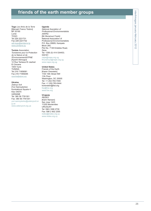**Togo** *Les Amis de la Terre* [Mensah Franco Todzro] BP 20190 Lomé TOGO Tel 228 2221731 Fax 228 2221732 adt-togo@amiterre.tg www.amiterre.tg

**Tunisia** *Association Tunisienne pour la Protection de la Nature et de l'Environnement/ATPNE* [Ayachi Abrougui] 12 Rue Tantaoui El Jawhari El Omrane 1005 Tunis TUNISIA Tel 216 71959081 Fax 216 71959295 ayachia@atpne.org

#### **Ukraine**

*Zelenyi Svit* [Yuri Samoylenko] Kontraktova Square 4 Kiev 04070 UKRAINE Tel: 380 56 7781301 Fax: 380 56 7781301 yuri.samoylenko@zelenysvit.or g.ua

www.zelenysvit.org.ua

#### **Uganda**

*National Assciation of Professional Environmentalists (NAPE)* [Mr Muramuzi Frank] National Association of Professional Environmentalists P.O. Box 29909, Kampala Block 265, Plot No. 7138 Entebbe Road, Zana, Tel: +256 (0) 414 534453; 530181 nape@nape.org.ug fmuramuzi@nape.org.ug www.nape.org.ug

#### **United States**

Friends of the Earth [Karen Orenstein] 1100 15th Street NW 11th Floor Washington, DC 20005 Tel: +1 202-783-7400 Fax: +1 202-783-0444 korenstein@foe.org foe@foe.org www.foe.org

#### **Uruguay**

*REDES* [Karin Nansen] San Jose 1423 11200 Montevideo URUGUAY Tel: 598 2 908 2730 Fax: 598 2 902 2355 redes@redes.org.uy www.redes.org.uy